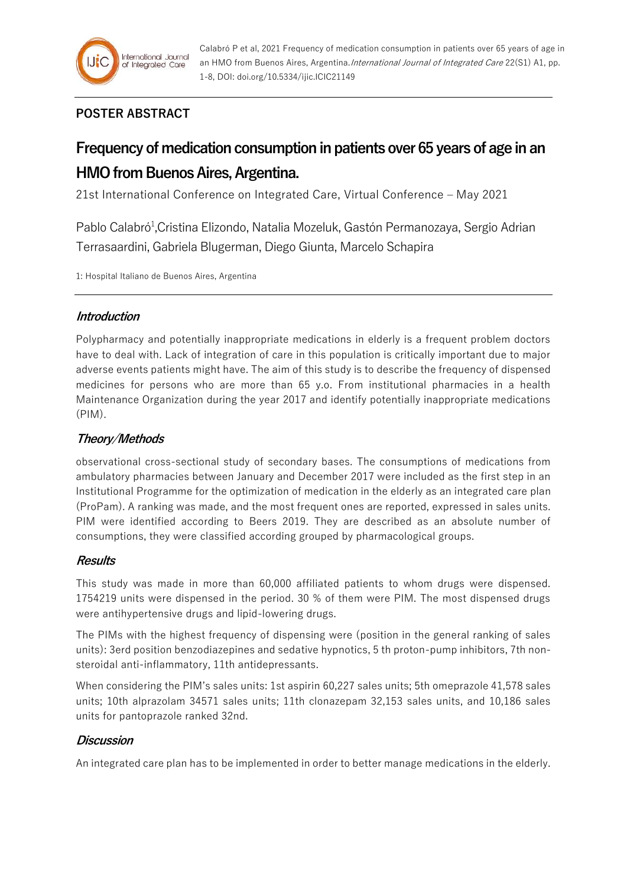

# **POSTER ABSTRACT**

# **Frequency of medication consumption in patients over 65 years of age in an HMO from Buenos Aires, Argentina.**

21st International Conference on Integrated Care, Virtual Conference – May 2021

Pablo Calabró<sup>1</sup>, Cristina Elizondo, Natalia Mozeluk, Gastón Permanozaya, Sergio Adrian Terrasaardini, Gabriela Blugerman, Diego Giunta, Marcelo Schapira

1: Hospital Italiano de Buenos Aires, Argentina

# **Introduction**

Polypharmacy and potentially inappropriate medications in elderly is a frequent problem doctors have to deal with. Lack of integration of care in this population is critically important due to major adverse events patients might have. The aim of this study is to describe the frequency of dispensed medicines for persons who are more than 65 y.o. From institutional pharmacies in a health Maintenance Organization during the year 2017 and identify potentially inappropriate medications (PIM).

# **Theory/Methods**

observational cross-sectional study of secondary bases. The consumptions of medications from ambulatory pharmacies between January and December 2017 were included as the first step in an Institutional Programme for the optimization of medication in the elderly as an integrated care plan (ProPam). A ranking was made, and the most frequent ones are reported, expressed in sales units. PIM were identified according to Beers 2019. They are described as an absolute number of consumptions, they were classified according grouped by pharmacological groups.

# **Results**

This study was made in more than 60,000 affiliated patients to whom drugs were dispensed. 1754219 units were dispensed in the period. 30 % of them were PIM. The most dispensed drugs were antihypertensive drugs and lipid-lowering drugs.

The PIMs with the highest frequency of dispensing were (position in the general ranking of sales units): 3erd position benzodiazepines and sedative hypnotics, 5 th proton-pump inhibitors, 7th nonsteroidal anti-inflammatory, 11th antidepressants.

When considering the PIM's sales units: 1st aspirin 60,227 sales units; 5th omeprazole 41,578 sales units; 10th alprazolam 34571 sales units; 11th clonazepam 32,153 sales units, and 10,186 sales units for pantoprazole ranked 32nd.

# **Discussion**

An integrated care plan has to be implemented in order to better manage medications in the elderly.